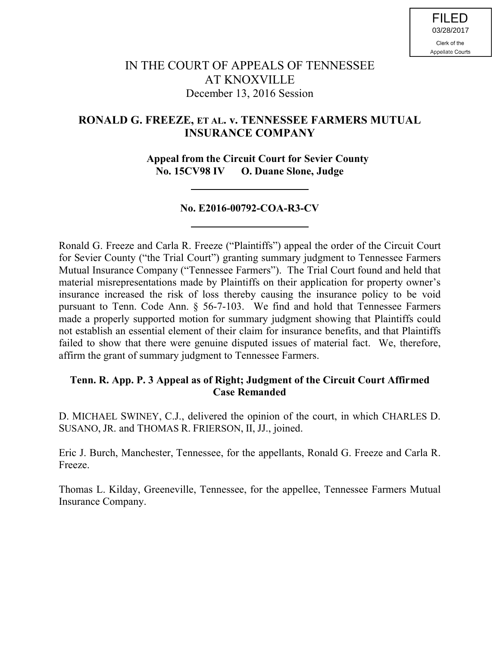# IN THE COURT OF APPEALS OF TENNESSEE AT KNOXVILLE December 13, 2016 Session

## **RONALD G. FREEZE, ET AL. v. TENNESSEE FARMERS MUTUAL INSURANCE COMPANY**

 **Appeal from the Circuit Court for Sevier County No. 15CV98 IV O. Duane Slone, Judge**

## **No. E2016-00792-COA-R3-CV**

Ronald G. Freeze and Carla R. Freeze ("Plaintiffs") appeal the order of the Circuit Court for Sevier County ("the Trial Court") granting summary judgment to Tennessee Farmers Mutual Insurance Company ("Tennessee Farmers"). The Trial Court found and held that material misrepresentations made by Plaintiffs on their application for property owner's insurance increased the risk of loss thereby causing the insurance policy to be void pursuant to Tenn. Code Ann. § 56-7-103. We find and hold that Tennessee Farmers made a properly supported motion for summary judgment showing that Plaintiffs could not establish an essential element of their claim for insurance benefits, and that Plaintiffs failed to show that there were genuine disputed issues of material fact. We, therefore, affirm the grant of summary judgment to Tennessee Farmers.

## **Tenn. R. App. P. 3 Appeal as of Right; Judgment of the Circuit Court Affirmed Case Remanded**

D. MICHAEL SWINEY, C.J., delivered the opinion of the court, in which CHARLES D. SUSANO, JR. and THOMAS R. FRIERSON, II, JJ., joined.

Eric J. Burch, Manchester, Tennessee, for the appellants, Ronald G. Freeze and Carla R. Freeze.

Thomas L. Kilday, Greeneville, Tennessee, for the appellee, Tennessee Farmers Mutual Insurance Company.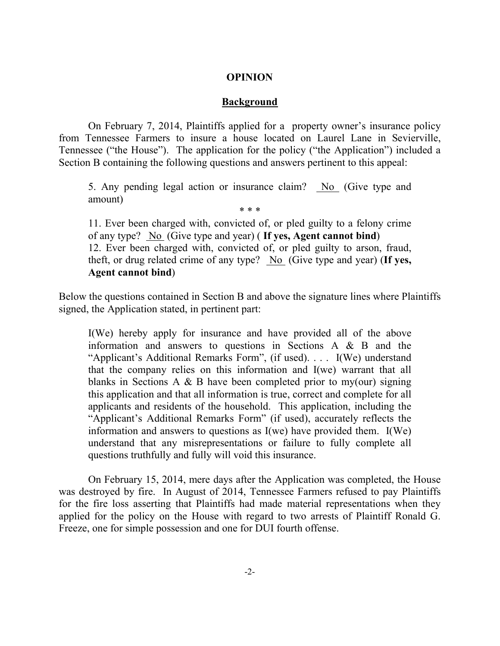#### **OPINION**

#### **Background**

On February 7, 2014, Plaintiffs applied for a property owner's insurance policy from Tennessee Farmers to insure a house located on Laurel Lane in Sevierville, Tennessee ("the House"). The application for the policy ("the Application") included a Section B containing the following questions and answers pertinent to this appeal:

5. Any pending legal action or insurance claim? No (Give type and amount) \* \* \*

11. Ever been charged with, convicted of, or pled guilty to a felony crime of any type? No (Give type and year) ( **If yes, Agent cannot bind**) 12. Ever been charged with, convicted of, or pled guilty to arson, fraud, theft, or drug related crime of any type? No (Give type and year) (**If yes, Agent cannot bind**)

Below the questions contained in Section B and above the signature lines where Plaintiffs signed, the Application stated, in pertinent part:

I(We) hereby apply for insurance and have provided all of the above information and answers to questions in Sections A & B and the "Applicant's Additional Remarks Form", (if used). . . . I(We) understand that the company relies on this information and I(we) warrant that all blanks in Sections A  $\&$  B have been completed prior to my(our) signing this application and that all information is true, correct and complete for all applicants and residents of the household. This application, including the "Applicant's Additional Remarks Form" (if used), accurately reflects the information and answers to questions as I(we) have provided them. I(We) understand that any misrepresentations or failure to fully complete all questions truthfully and fully will void this insurance.

On February 15, 2014, mere days after the Application was completed, the House was destroyed by fire. In August of 2014, Tennessee Farmers refused to pay Plaintiffs for the fire loss asserting that Plaintiffs had made material representations when they applied for the policy on the House with regard to two arrests of Plaintiff Ronald G. Freeze, one for simple possession and one for DUI fourth offense.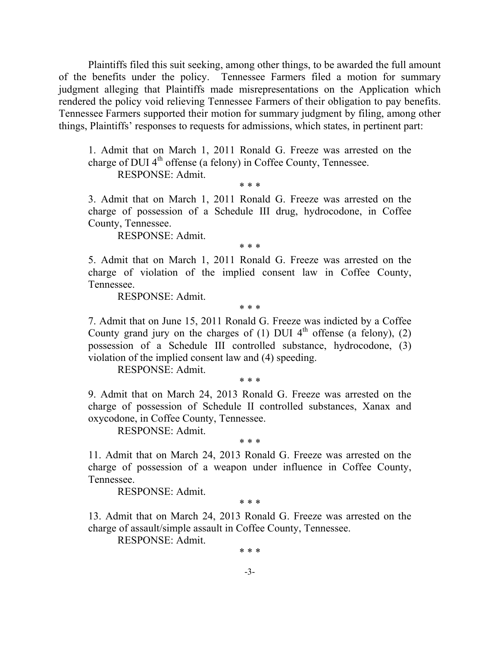Plaintiffs filed this suit seeking, among other things, to be awarded the full amount of the benefits under the policy. Tennessee Farmers filed a motion for summary judgment alleging that Plaintiffs made misrepresentations on the Application which rendered the policy void relieving Tennessee Farmers of their obligation to pay benefits. Tennessee Farmers supported their motion for summary judgment by filing, among other things, Plaintiffs' responses to requests for admissions, which states, in pertinent part:

1. Admit that on March 1, 2011 Ronald G. Freeze was arrested on the charge of DUI  $4<sup>th</sup>$  offense (a felony) in Coffee County, Tennessee. RESPONSE: Admit.

\* \* \*

3. Admit that on March 1, 2011 Ronald G. Freeze was arrested on the charge of possession of a Schedule III drug, hydrocodone, in Coffee County, Tennessee.

RESPONSE: Admit.

\* \* \*

5. Admit that on March 1, 2011 Ronald G. Freeze was arrested on the charge of violation of the implied consent law in Coffee County, Tennessee.

RESPONSE: Admit.

\* \* \*

7. Admit that on June 15, 2011 Ronald G. Freeze was indicted by a Coffee County grand jury on the charges of  $(1)$  DUI 4<sup>th</sup> offense (a felony),  $(2)$ possession of a Schedule III controlled substance, hydrocodone, (3) violation of the implied consent law and (4) speeding.

RESPONSE: Admit.

\* \* \*

9. Admit that on March 24, 2013 Ronald G. Freeze was arrested on the charge of possession of Schedule II controlled substances, Xanax and oxycodone, in Coffee County, Tennessee.

RESPONSE: Admit.

\* \* \*

11. Admit that on March 24, 2013 Ronald G. Freeze was arrested on the charge of possession of a weapon under influence in Coffee County, Tennessee.

RESPONSE: Admit.

\* \* \*

13. Admit that on March 24, 2013 Ronald G. Freeze was arrested on the charge of assault/simple assault in Coffee County, Tennessee.

RESPONSE: Admit.

\* \* \*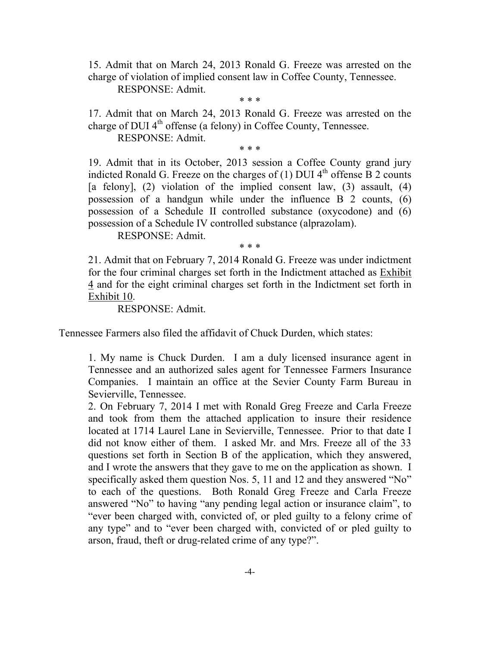15. Admit that on March 24, 2013 Ronald G. Freeze was arrested on the charge of violation of implied consent law in Coffee County, Tennessee.

RESPONSE: Admit.

\* \* \*

17. Admit that on March 24, 2013 Ronald G. Freeze was arrested on the charge of DUI  $4<sup>th</sup>$  offense (a felony) in Coffee County, Tennessee.

RESPONSE: Admit.

\* \* \*

19. Admit that in its October, 2013 session a Coffee County grand jury indicted Ronald G. Freeze on the charges of  $(1)$  DUI 4<sup>th</sup> offense B 2 counts [a felony], (2) violation of the implied consent law, (3) assault, (4) possession of a handgun while under the influence B 2 counts, (6) possession of a Schedule II controlled substance (oxycodone) and (6) possession of a Schedule IV controlled substance (alprazolam).

RESPONSE: Admit.

\* \* \*

21. Admit that on February 7, 2014 Ronald G. Freeze was under indictment for the four criminal charges set forth in the Indictment attached as Exhibit 4 and for the eight criminal charges set forth in the Indictment set forth in Exhibit 10.

RESPONSE: Admit.

Tennessee Farmers also filed the affidavit of Chuck Durden, which states:

1. My name is Chuck Durden. I am a duly licensed insurance agent in Tennessee and an authorized sales agent for Tennessee Farmers Insurance Companies. I maintain an office at the Sevier County Farm Bureau in Sevierville, Tennessee.

2. On February 7, 2014 I met with Ronald Greg Freeze and Carla Freeze and took from them the attached application to insure their residence located at 1714 Laurel Lane in Sevierville, Tennessee. Prior to that date I did not know either of them. I asked Mr. and Mrs. Freeze all of the 33 questions set forth in Section B of the application, which they answered, and I wrote the answers that they gave to me on the application as shown. I specifically asked them question Nos. 5, 11 and 12 and they answered "No" to each of the questions. Both Ronald Greg Freeze and Carla Freeze answered "No" to having "any pending legal action or insurance claim", to "ever been charged with, convicted of, or pled guilty to a felony crime of any type" and to "ever been charged with, convicted of or pled guilty to arson, fraud, theft or drug-related crime of any type?".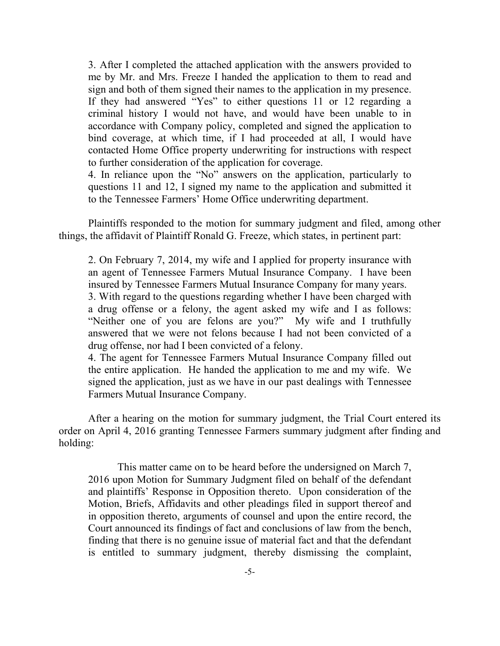3. After I completed the attached application with the answers provided to me by Mr. and Mrs. Freeze I handed the application to them to read and sign and both of them signed their names to the application in my presence. If they had answered "Yes" to either questions 11 or 12 regarding a criminal history I would not have, and would have been unable to in accordance with Company policy, completed and signed the application to bind coverage, at which time, if I had proceeded at all, I would have contacted Home Office property underwriting for instructions with respect to further consideration of the application for coverage.

4. In reliance upon the "No" answers on the application, particularly to questions 11 and 12, I signed my name to the application and submitted it to the Tennessee Farmers' Home Office underwriting department.

Plaintiffs responded to the motion for summary judgment and filed, among other things, the affidavit of Plaintiff Ronald G. Freeze, which states, in pertinent part:

2. On February 7, 2014, my wife and I applied for property insurance with an agent of Tennessee Farmers Mutual Insurance Company. I have been insured by Tennessee Farmers Mutual Insurance Company for many years. 3. With regard to the questions regarding whether I have been charged with

a drug offense or a felony, the agent asked my wife and I as follows: "Neither one of you are felons are you?" My wife and I truthfully answered that we were not felons because I had not been convicted of a drug offense, nor had I been convicted of a felony.

4. The agent for Tennessee Farmers Mutual Insurance Company filled out the entire application. He handed the application to me and my wife. We signed the application, just as we have in our past dealings with Tennessee Farmers Mutual Insurance Company.

After a hearing on the motion for summary judgment, the Trial Court entered its order on April 4, 2016 granting Tennessee Farmers summary judgment after finding and holding:

This matter came on to be heard before the undersigned on March 7, 2016 upon Motion for Summary Judgment filed on behalf of the defendant and plaintiffs' Response in Opposition thereto. Upon consideration of the Motion, Briefs, Affidavits and other pleadings filed in support thereof and in opposition thereto, arguments of counsel and upon the entire record, the Court announced its findings of fact and conclusions of law from the bench, finding that there is no genuine issue of material fact and that the defendant is entitled to summary judgment, thereby dismissing the complaint,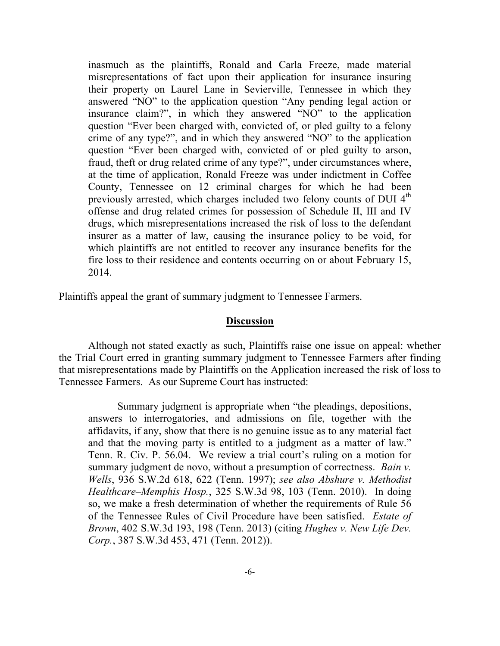inasmuch as the plaintiffs, Ronald and Carla Freeze, made material misrepresentations of fact upon their application for insurance insuring their property on Laurel Lane in Sevierville, Tennessee in which they answered "NO" to the application question "Any pending legal action or insurance claim?", in which they answered "NO" to the application question "Ever been charged with, convicted of, or pled guilty to a felony crime of any type?", and in which they answered "NO" to the application question "Ever been charged with, convicted of or pled guilty to arson, fraud, theft or drug related crime of any type?", under circumstances where, at the time of application, Ronald Freeze was under indictment in Coffee County, Tennessee on 12 criminal charges for which he had been previously arrested, which charges included two felony counts of DUI 4<sup>th</sup> offense and drug related crimes for possession of Schedule II, III and IV drugs, which misrepresentations increased the risk of loss to the defendant insurer as a matter of law, causing the insurance policy to be void, for which plaintiffs are not entitled to recover any insurance benefits for the fire loss to their residence and contents occurring on or about February 15, 2014.

Plaintiffs appeal the grant of summary judgment to Tennessee Farmers.

#### **Discussion**

Although not stated exactly as such, Plaintiffs raise one issue on appeal: whether the Trial Court erred in granting summary judgment to Tennessee Farmers after finding that misrepresentations made by Plaintiffs on the Application increased the risk of loss to Tennessee Farmers. As our Supreme Court has instructed:

Summary judgment is appropriate when "the pleadings, depositions, answers to interrogatories, and admissions on file, together with the affidavits, if any, show that there is no genuine issue as to any material fact and that the moving party is entitled to a judgment as a matter of law." Tenn. R. Civ. P. 56.04. We review a trial court's ruling on a motion for summary judgment de novo, without a presumption of correctness. *Bain v. Wells*, 936 S.W.2d 618, 622 (Tenn. 1997); *see also Abshure v. Methodist Healthcare–Memphis Hosp.*, 325 S.W.3d 98, 103 (Tenn. 2010). In doing so, we make a fresh determination of whether the requirements of Rule 56 of the Tennessee Rules of Civil Procedure have been satisfied. *Estate of Brown*, 402 S.W.3d 193, 198 (Tenn. 2013) (citing *Hughes v. New Life Dev. Corp.*, 387 S.W.3d 453, 471 (Tenn. 2012)).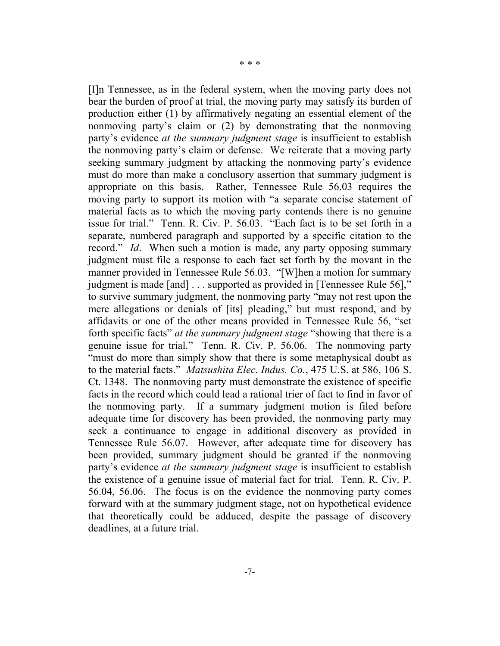[I]n Tennessee, as in the federal system, when the moving party does not bear the burden of proof at trial, the moving party may satisfy its burden of production either (1) by affirmatively negating an essential element of the nonmoving party's claim or (2) by demonstrating that the nonmoving party's evidence *at the summary judgment stage* is insufficient to establish the nonmoving party's claim or defense. We reiterate that a moving party seeking summary judgment by attacking the nonmoving party's evidence must do more than make a conclusory assertion that summary judgment is appropriate on this basis. Rather, Tennessee Rule 56.03 requires the moving party to support its motion with "a separate concise statement of material facts as to which the moving party contends there is no genuine issue for trial." Tenn. R. Civ. P. 56.03. "Each fact is to be set forth in a separate, numbered paragraph and supported by a specific citation to the record." *Id*. When such a motion is made, any party opposing summary judgment must file a response to each fact set forth by the movant in the manner provided in Tennessee Rule 56.03. "[W]hen a motion for summary judgment is made [and] . . . supported as provided in [Tennessee Rule 56]," to survive summary judgment, the nonmoving party "may not rest upon the mere allegations or denials of [its] pleading," but must respond, and by affidavits or one of the other means provided in Tennessee Rule 56, "set forth specific facts" *at the summary judgment stage* "showing that there is a genuine issue for trial." Tenn. R. Civ. P. 56.06. The nonmoving party "must do more than simply show that there is some metaphysical doubt as to the material facts." *Matsushita Elec. Indus. Co.*, 475 U.S. at 586, 106 S. Ct. 1348. The nonmoving party must demonstrate the existence of specific facts in the record which could lead a rational trier of fact to find in favor of the nonmoving party. If a summary judgment motion is filed before adequate time for discovery has been provided, the nonmoving party may seek a continuance to engage in additional discovery as provided in Tennessee Rule 56.07. However, after adequate time for discovery has been provided, summary judgment should be granted if the nonmoving party's evidence *at the summary judgment stage* is insufficient to establish the existence of a genuine issue of material fact for trial. Tenn. R. Civ. P. 56.04, 56.06. The focus is on the evidence the nonmoving party comes forward with at the summary judgment stage, not on hypothetical evidence that theoretically could be adduced, despite the passage of discovery deadlines, at a future trial.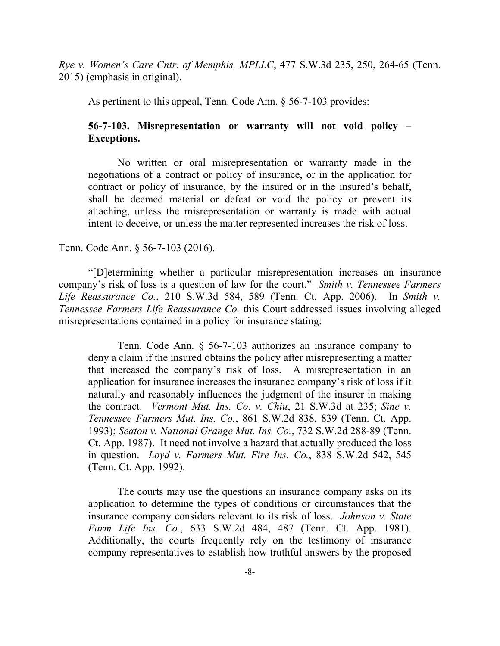*Rye v. Women's Care Cntr. of Memphis, MPLLC*, 477 S.W.3d 235, 250, 264-65 (Tenn. 2015) (emphasis in original).

As pertinent to this appeal, Tenn. Code Ann. § 56-7-103 provides:

## **56-7-103. Misrepresentation or warranty will not void policy – Exceptions.**

No written or oral misrepresentation or warranty made in the negotiations of a contract or policy of insurance, or in the application for contract or policy of insurance, by the insured or in the insured's behalf, shall be deemed material or defeat or void the policy or prevent its attaching, unless the misrepresentation or warranty is made with actual intent to deceive, or unless the matter represented increases the risk of loss.

#### Tenn. Code Ann. § 56-7-103 (2016).

"[D]etermining whether a particular misrepresentation increases an insurance company's risk of loss is a question of law for the court." *Smith v. Tennessee Farmers Life Reassurance Co.*, 210 S.W.3d 584, 589 (Tenn. Ct. App. 2006). In *Smith v. Tennessee Farmers Life Reassurance Co.* this Court addressed issues involving alleged misrepresentations contained in a policy for insurance stating:

Tenn. Code Ann. § 56-7-103 authorizes an insurance company to deny a claim if the insured obtains the policy after misrepresenting a matter that increased the company's risk of loss. A misrepresentation in an application for insurance increases the insurance company's risk of loss if it naturally and reasonably influences the judgment of the insurer in making the contract. *Vermont Mut. Ins. Co. v. Chiu*, 21 S.W.3d at 235; *Sine v. Tennessee Farmers Mut. Ins. Co.*, 861 S.W.2d 838, 839 (Tenn. Ct. App. 1993); *Seaton v. National Grange Mut. Ins. Co.*, 732 S.W.2d 288-89 (Tenn. Ct. App. 1987). It need not involve a hazard that actually produced the loss in question. *Loyd v. Farmers Mut. Fire Ins. Co.*, 838 S.W.2d 542, 545 (Tenn. Ct. App. 1992).

The courts may use the questions an insurance company asks on its application to determine the types of conditions or circumstances that the insurance company considers relevant to its risk of loss. *Johnson v. State Farm Life Ins. Co.*, 633 S.W.2d 484, 487 (Tenn. Ct. App. 1981). Additionally, the courts frequently rely on the testimony of insurance company representatives to establish how truthful answers by the proposed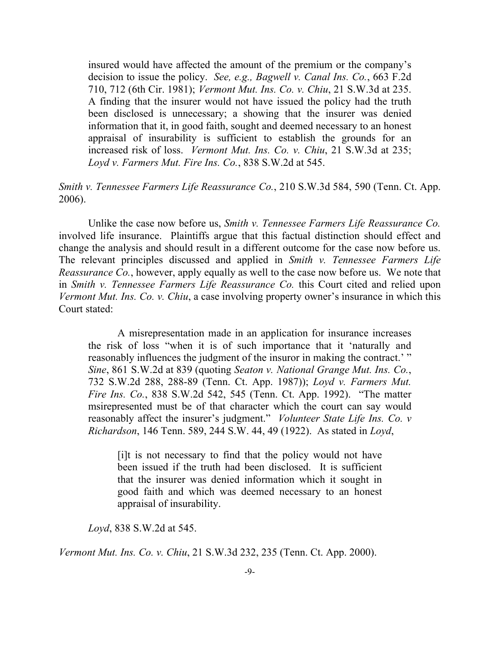insured would have affected the amount of the premium or the company's decision to issue the policy. *See, e.g., Bagwell v. Canal Ins. Co.*, 663 F.2d 710, 712 (6th Cir. 1981); *Vermont Mut. Ins. Co. v. Chiu*, 21 S.W.3d at 235. A finding that the insurer would not have issued the policy had the truth been disclosed is unnecessary; a showing that the insurer was denied information that it, in good faith, sought and deemed necessary to an honest appraisal of insurability is sufficient to establish the grounds for an increased risk of loss. *Vermont Mut. Ins. Co. v. Chiu*, 21 S.W.3d at 235; *Loyd v. Farmers Mut. Fire Ins. Co.*, 838 S.W.2d at 545.

*Smith v. Tennessee Farmers Life Reassurance Co.*, 210 S.W.3d 584, 590 (Tenn. Ct. App. 2006).

Unlike the case now before us, *Smith v. Tennessee Farmers Life Reassurance Co.* involved life insurance. Plaintiffs argue that this factual distinction should effect and change the analysis and should result in a different outcome for the case now before us. The relevant principles discussed and applied in *Smith v. Tennessee Farmers Life Reassurance Co.*, however, apply equally as well to the case now before us. We note that in *Smith v. Tennessee Farmers Life Reassurance Co.* this Court cited and relied upon *Vermont Mut. Ins. Co. v. Chiu*, a case involving property owner's insurance in which this Court stated:

A misrepresentation made in an application for insurance increases the risk of loss "when it is of such importance that it 'naturally and reasonably influences the judgment of the insuror in making the contract.' " *Sine*, 861 S.W.2d at 839 (quoting *Seaton v. National Grange Mut. Ins. Co.*, 732 S.W.2d 288, 288-89 (Tenn. Ct. App. 1987)); *Loyd v. Farmers Mut. Fire Ins. Co.*, 838 S.W.2d 542, 545 (Tenn. Ct. App. 1992). "The matter msirepresented must be of that character which the court can say would reasonably affect the insurer's judgment." *Volunteer State Life Ins. Co. v Richardson*, 146 Tenn. 589, 244 S.W. 44, 49 (1922). As stated in *Loyd*,

[i]t is not necessary to find that the policy would not have been issued if the truth had been disclosed. It is sufficient that the insurer was denied information which it sought in good faith and which was deemed necessary to an honest appraisal of insurability.

*Loyd*, 838 S.W.2d at 545.

*Vermont Mut. Ins. Co. v. Chiu*, 21 S.W.3d 232, 235 (Tenn. Ct. App. 2000).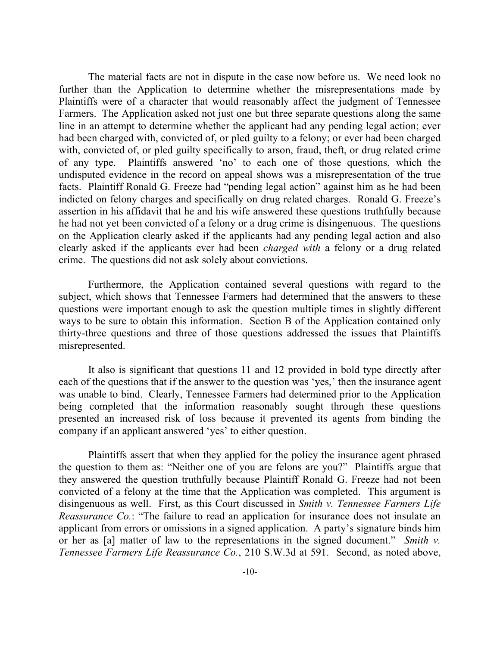The material facts are not in dispute in the case now before us. We need look no further than the Application to determine whether the misrepresentations made by Plaintiffs were of a character that would reasonably affect the judgment of Tennessee Farmers. The Application asked not just one but three separate questions along the same line in an attempt to determine whether the applicant had any pending legal action; ever had been charged with, convicted of, or pled guilty to a felony; or ever had been charged with, convicted of, or pled guilty specifically to arson, fraud, theft, or drug related crime of any type. Plaintiffs answered 'no' to each one of those questions, which the undisputed evidence in the record on appeal shows was a misrepresentation of the true facts. Plaintiff Ronald G. Freeze had "pending legal action" against him as he had been indicted on felony charges and specifically on drug related charges. Ronald G. Freeze's assertion in his affidavit that he and his wife answered these questions truthfully because he had not yet been convicted of a felony or a drug crime is disingenuous. The questions on the Application clearly asked if the applicants had any pending legal action and also clearly asked if the applicants ever had been *charged with* a felony or a drug related crime. The questions did not ask solely about convictions.

Furthermore, the Application contained several questions with regard to the subject, which shows that Tennessee Farmers had determined that the answers to these questions were important enough to ask the question multiple times in slightly different ways to be sure to obtain this information. Section B of the Application contained only thirty-three questions and three of those questions addressed the issues that Plaintiffs misrepresented.

It also is significant that questions 11 and 12 provided in bold type directly after each of the questions that if the answer to the question was 'yes,' then the insurance agent was unable to bind. Clearly, Tennessee Farmers had determined prior to the Application being completed that the information reasonably sought through these questions presented an increased risk of loss because it prevented its agents from binding the company if an applicant answered 'yes' to either question.

Plaintiffs assert that when they applied for the policy the insurance agent phrased the question to them as: "Neither one of you are felons are you?" Plaintiffs argue that they answered the question truthfully because Plaintiff Ronald G. Freeze had not been convicted of a felony at the time that the Application was completed. This argument is disingenuous as well. First, as this Court discussed in *Smith v. Tennessee Farmers Life Reassurance Co.*: "The failure to read an application for insurance does not insulate an applicant from errors or omissions in a signed application. A party's signature binds him or her as [a] matter of law to the representations in the signed document." *Smith v. Tennessee Farmers Life Reassurance Co.*, 210 S.W.3d at 591. Second, as noted above,